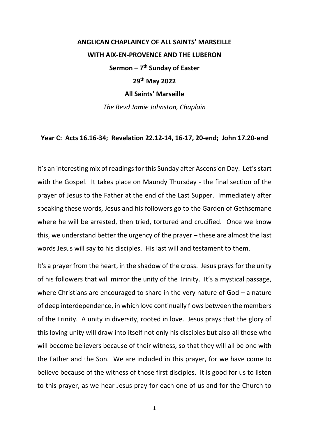## **ANGLICAN CHAPLAINCY OF ALL SAINTS' MARSEILLE WITH AIX-EN-PROVENCE AND THE LUBERON Sermon – 7 th Sunday of Easter 29th May 2022 All Saints' Marseille** *The Revd Jamie Johnston, Chaplain*

## **Year C: Acts 16.16-34; Revelation 22.12-14, 16-17, 20-end; John 17.20-end**

It's an interesting mix of readings for this Sunday after Ascension Day. Let's start with the Gospel. It takes place on Maundy Thursday - the final section of the prayer of Jesus to the Father at the end of the Last Supper. Immediately after speaking these words, Jesus and his followers go to the Garden of Gethsemane where he will be arrested, then tried, tortured and crucified. Once we know this, we understand better the urgency of the prayer – these are almost the last words Jesus will say to his disciples. His last will and testament to them.

It's a prayer from the heart, in the shadow of the cross. Jesus prays for the unity of his followers that will mirror the unity of the Trinity. It's a mystical passage, where Christians are encouraged to share in the very nature of God – a nature of deep interdependence, in which love continually flows between the members of the Trinity. A unity in diversity, rooted in love. Jesus prays that the glory of this loving unity will draw into itself not only his disciples but also all those who will become believers because of their witness, so that they will all be one with the Father and the Son. We are included in this prayer, for we have come to believe because of the witness of those first disciples. It is good for us to listen to this prayer, as we hear Jesus pray for each one of us and for the Church to

1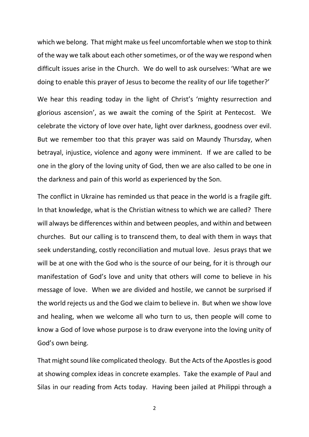which we belong. That might make us feel uncomfortable when we stop to think of the way we talk about each other sometimes, or of the way we respond when difficult issues arise in the Church. We do well to ask ourselves: 'What are we doing to enable this prayer of Jesus to become the reality of our life together?'

We hear this reading today in the light of Christ's 'mighty resurrection and glorious ascension', as we await the coming of the Spirit at Pentecost. We celebrate the victory of love over hate, light over darkness, goodness over evil. But we remember too that this prayer was said on Maundy Thursday, when betrayal, injustice, violence and agony were imminent. If we are called to be one in the glory of the loving unity of God, then we are also called to be one in the darkness and pain of this world as experienced by the Son.

The conflict in Ukraine has reminded us that peace in the world is a fragile gift. In that knowledge, what is the Christian witness to which we are called? There will always be differences within and between peoples, and within and between churches. But our calling is to transcend them, to deal with them in ways that seek understanding, costly reconciliation and mutual love. Jesus prays that we will be at one with the God who is the source of our being, for it is through our manifestation of God's love and unity that others will come to believe in his message of love. When we are divided and hostile, we cannot be surprised if the world rejects us and the God we claim to believe in. But when we show love and healing, when we welcome all who turn to us, then people will come to know a God of love whose purpose is to draw everyone into the loving unity of God's own being.

That might sound like complicated theology. But the Acts of the Apostles is good at showing complex ideas in concrete examples. Take the example of Paul and Silas in our reading from Acts today. Having been jailed at Philippi through a

2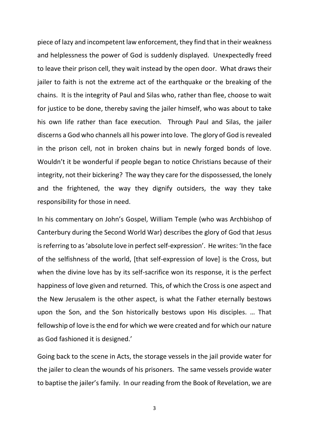piece of lazy and incompetent law enforcement, they find that in their weakness and helplessness the power of God is suddenly displayed. Unexpectedly freed to leave their prison cell, they wait instead by the open door. What draws their jailer to faith is not the extreme act of the earthquake or the breaking of the chains. It is the integrity of Paul and Silas who, rather than flee, choose to wait for justice to be done, thereby saving the jailer himself, who was about to take his own life rather than face execution. Through Paul and Silas, the jailer discerns a God who channels all his power into love. The glory of God is revealed in the prison cell, not in broken chains but in newly forged bonds of love. Wouldn't it be wonderful if people began to notice Christians because of their integrity, not their bickering? The way they care for the dispossessed, the lonely and the frightened, the way they dignify outsiders, the way they take responsibility for those in need.

In his commentary on John's Gospel, William Temple (who was Archbishop of Canterbury during the Second World War) describes the glory of God that Jesus is referring to as 'absolute love in perfect self-expression'. He writes: 'In the face of the selfishness of the world, [that self-expression of love] is the Cross, but when the divine love has by its self-sacrifice won its response, it is the perfect happiness of love given and returned. This, of which the Cross is one aspect and the New Jerusalem is the other aspect, is what the Father eternally bestows upon the Son, and the Son historically bestows upon His disciples. … That fellowship of love is the end for which we were created and for which our nature as God fashioned it is designed.'

Going back to the scene in Acts, the storage vessels in the jail provide water for the jailer to clean the wounds of his prisoners. The same vessels provide water to baptise the jailer's family. In our reading from the Book of Revelation, we are

3